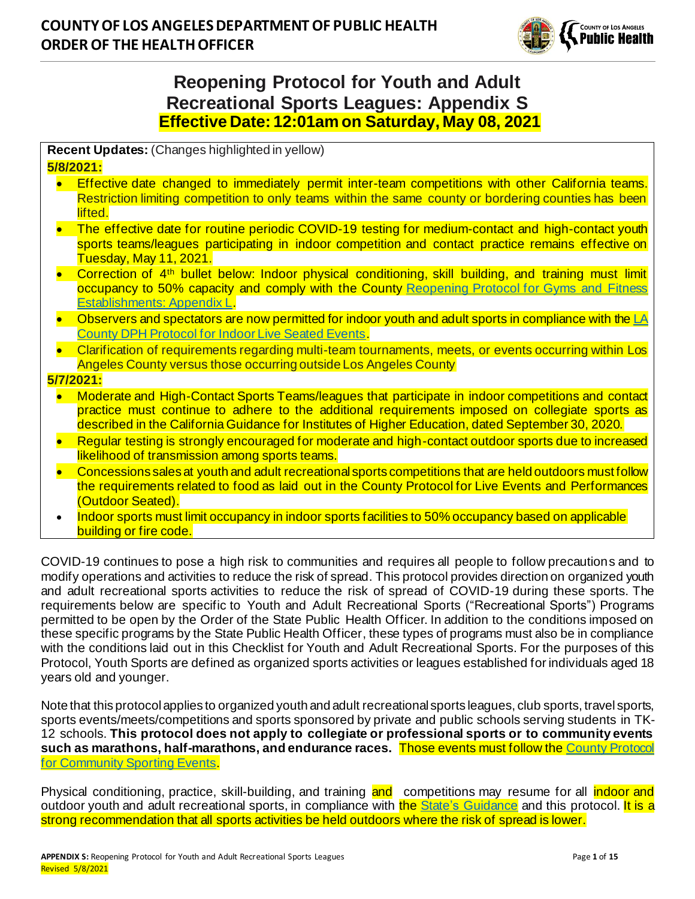

# **Reopening Protocol for Youth and Adult Recreational Sports Leagues: Appendix S Effective Date: 12:01am on Saturday, May 08, 2021**

**Recent Updates:** (Changes highlighted in yellow)

#### **5/8/2021:**

- Effective date changed to immediately permit inter-team competitions with other California teams. Restriction limiting competition to only teams within the same county or bordering counties has been lifted.
- The effective date for routine periodic COVID-19 testing for medium-contact and high-contact youth sports teams/leagues participating in indoor competition and contact practice remains effective on Tuesday, May 11, 2021.
- Correction of 4th bullet below: Indoor physical conditioning, skill building, and training must limit occupancy to 50% capacity and comply with the County Reopening Protocol for Gyms and Fitness [Establishments: Appendix L.](http://www.ph.lacounty.gov/media/Coronavirus/docs/protocols/Reopening_FitnessEstablishments.pdf)
- Observers and spectators are now permitted for indoor youth and adult sports in compliance with th[e LA](http://publichealth.lacounty.gov/media/Coronavirus/docs/protocols/Reopening_LiveIndoorEvents.pdf)  [County DPH Protocol for Indoor Live Seated Events.](http://publichealth.lacounty.gov/media/Coronavirus/docs/protocols/Reopening_LiveIndoorEvents.pdf)
- Clarification of requirements regarding multi-team tournaments, meets, or events occurring within Los Angeles County versus those occurring outside Los Angeles County

#### **5/7/2021:**

- Moderate and High-Contact Sports Teams/leagues that participate in indoor competitions and contact practice must continue to adhere to the additional requirements imposed on collegiate sports as described in the California Guidance for Institutes of Higher Education, dated September 30, 2020.
- Regular testing is strongly encouraged for moderate and high-contact outdoor sports due to increased likelihood of transmission among sports teams.
- Concessions sales at youth and adult recreational sports competitions that are held outdoors must follow the requirements related to food as laid out in the County Protocol for Live Events and Performances (Outdoor Seated).
- Indoor sports must limit occupancy in indoor sports facilities to 50% occupancy based on applicable building or fire code.

COVID-19 continues to pose a high risk to communities and requires all people to follow precautions and to modify operations and activities to reduce the risk of spread. This protocol provides direction on organized youth and adult recreational sports activities to reduce the risk of spread of COVID-19 during these sports. The requirements below are specific to Youth and Adult Recreational Sports ("Recreational Sports") Programs permitted to be open by the Order of the State Public Health Officer. In addition to the conditions imposed on these specific programs by the State Public Health Officer, these types of programs must also be in compliance with the conditions laid out in this Checklist for Youth and Adult Recreational Sports. For the purposes of this Protocol, Youth Sports are defined as organized sports activities or leagues established for individuals aged 18 years old and younger.

Note that this protocol applies to organized youth and adult recreational sports leagues, club sports, travel sports, sports events/meets/competitions and sports sponsored by private and public schools serving students in TK-12 schools. **This protocol does not apply to collegiate or professional sports or to community events such as marathons, half-marathons, and endurance races.** Those events must follow th[e County Protocol](http://publichealth.lacounty.gov/media/Coronavirus/docs/protocols/Reopening_CommunitySportingEvents.pdf)  [for Community Sporting Events](http://publichealth.lacounty.gov/media/Coronavirus/docs/protocols/Reopening_CommunitySportingEvents.pdf).

Physical conditioning, practice, skill-building, and training and competitions may resume for all indoor and outdoor youth and adult recreational sports, in compliance with the State's [Guidance](https://www.cdph.ca.gov/Programs/CID/DCDC/Pages/COVID-19/outdoor-indoor-recreational-sports.aspx) and this protocol. It is a strong recommendation that all sports activities be held outdoors where the risk of spread is lower.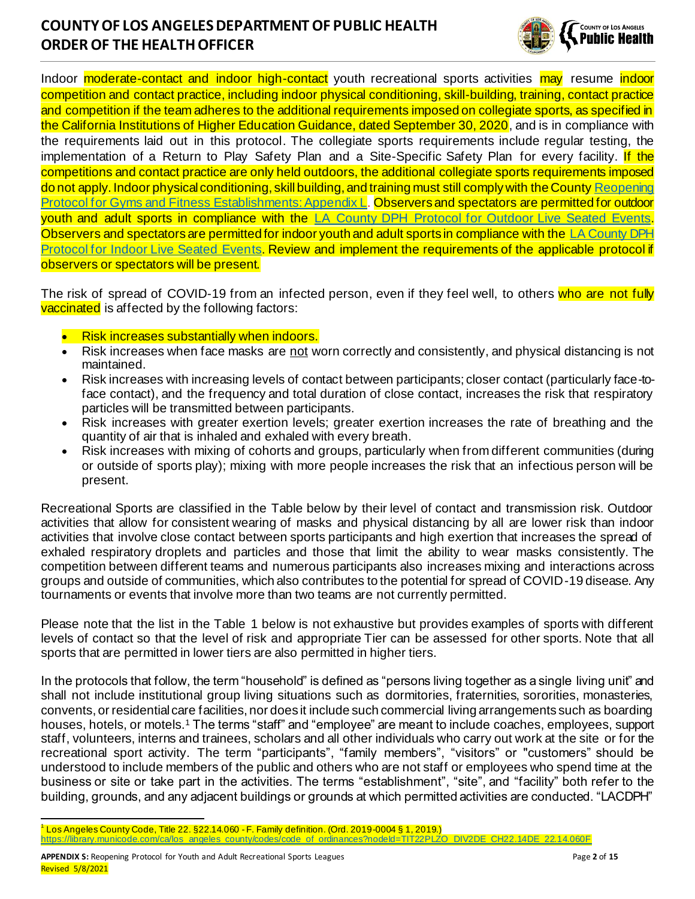

Indoor **moderate-contact and indoor high-contact** youth recreational sports activities may resume indoor competition and contact practice, including indoor physical conditioning, skill-building, training, contact practice and competition if the team adheres to the additional requirements imposed on collegiate sports, as specified in the California Institutions of Higher Education Guidance, dated September 30, 2020, and is in compliance with the requirements laid out in this protocol. The collegiate sports requirements include regular testing, the implementation of a Return to Play Safety Plan and a Site-Specific Safety Plan for every facility. If the competitions and contact practice are only held outdoors, the additional collegiate sports requirements imposed do not apply. Indoor physical conditioning, skill building, and training must still comply with the County Reopening [Protocol for Gyms and Fitness](http://www.ph.lacounty.gov/media/Coronavirus/docs/protocols/Reopening_FitnessEstablishments.pdf) Establishments: Appendix L. Observers and spectators are permitted for outdoor youth and adult sports in compliance with the [LA County DPH Protocol for Outdoor Live Seated Events.](http://publichealth.lacounty.gov/media/Coronavirus/docs/protocols/Reopening_LiveOutdoorEvents.pdf) Observers and spectators are permitted for indoor youth and adult sports in compliance with th[e LA County DPH](http://publichealth.lacounty.gov/media/Coronavirus/docs/protocols/Reopening_LiveIndoorEvents.pdf)  [Protocol for Indoor Live Seated Events.](http://publichealth.lacounty.gov/media/Coronavirus/docs/protocols/Reopening_LiveIndoorEvents.pdf) Review and implement the requirements of the applicable protocol if observers or spectators will be present.

The risk of spread of COVID-19 from an infected person, even if they feel well, to others who are not fully vaccinated is affected by the following factors:

- **Risk increases substantially when indoors.**
- Risk increases when face masks are not worn correctly and consistently, and physical distancing is not maintained.
- Risk increases with increasing levels of contact between participants; closer contact (particularly face-toface contact), and the frequency and total duration of close contact, increases the risk that respiratory particles will be transmitted between participants.
- Risk increases with greater exertion levels; greater exertion increases the rate of breathing and the quantity of air that is inhaled and exhaled with every breath.
- Risk increases with mixing of cohorts and groups, particularly when from different communities (during or outside of sports play); mixing with more people increases the risk that an infectious person will be present.

Recreational Sports are classified in the Table below by their level of contact and transmission risk. Outdoor activities that allow for consistent wearing of masks and physical distancing by all are lower risk than indoor activities that involve close contact between sports participants and high exertion that increases the spread of exhaled respiratory droplets and particles and those that limit the ability to wear masks consistently. The competition between different teams and numerous participants also increases mixing and interactions across groups and outside of communities, which also contributes to the potential for spread of COVID-19 disease. Any tournaments or events that involve more than two teams are not currently permitted.

Please note that the list in the Table 1 below is not exhaustive but provides examples of sports with different levels of contact so that the level of risk and appropriate Tier can be assessed for other sports. Note that all sports that are permitted in lower tiers are also permitted in higher tiers.

In the protocols that follow, the term "household" is defined as "persons living together as a single living unit" and shall not include institutional group living situations such as dormitories, fraternities, sororities, monasteries, convents, or residential care facilities, nor does it include such commercial living arrangements such as boarding houses, hotels, or motels.<sup>1</sup> The terms "staff" and "employee" are meant to include coaches, employees, support staff, volunteers, interns and trainees, scholars and all other individuals who carry out work at the site or for the recreational sport activity. The term "participants", "family members", "visitors" or "customers" should be understood to include members of the public and others who are not staff or employees who spend time at the business or site or take part in the activities. The terms "establishment", "site", and "facility" both refer to the building, grounds, and any adjacent buildings or grounds at which permitted activities are conducted. "LACDPH"

<sup>1</sup> Los Angeles County Code, Title 22. §22.14.060 - F. Family definition. (Ord. 2019-0004 § 1, 2019.) https://library.municode.com/ca/los\_angeles\_county/codes/code\_of\_ordinances?nodeId=TIT22PLZO\_DIV2DE\_CH22.14DE\_22.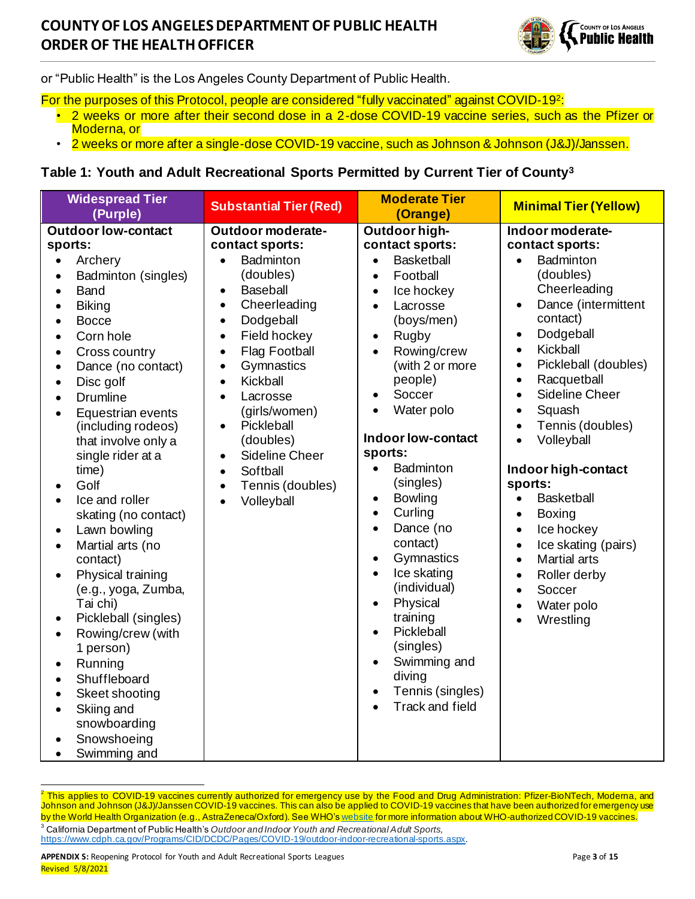

or "Public Health" is the Los Angeles County Department of Public Health.

- For the purposes of this Protocol, people are considered "fully vaccinated" against COVID-19<del>?</del>:
	- 2 weeks or more after their second dose in a 2-dose COVID-19 vaccine series, such as the Pfizer or Moderna, or
	- 2 weeks or more after a single-dose COVID-19 vaccine, such as Johnson & Johnson (J&J)/Janssen.

### **Table 1: Youth and Adult Recreational Sports Permitted by Current Tier of County<sup>3</sup>**

| <b>Widespread Tier</b><br>(Purple)                                                                                                                                                                                                                                                                                                                                                                                                                                                                                                                                                                                                                                                                  | <b>Substantial Tier (Red)</b>                                                                                                                                                                                                                                                                                                                                                                                                                                                                         | <b>Moderate Tier</b><br>(Orange)                                                                                                                                                                                                                                                                                                                                                                                                                                                                                                                                                                                                                                                          | <b>Minimal Tier (Yellow)</b>                                                                                                                                                                                                                                                                                                                                                                                                                                                                                                                                                                                                                                                                          |
|-----------------------------------------------------------------------------------------------------------------------------------------------------------------------------------------------------------------------------------------------------------------------------------------------------------------------------------------------------------------------------------------------------------------------------------------------------------------------------------------------------------------------------------------------------------------------------------------------------------------------------------------------------------------------------------------------------|-------------------------------------------------------------------------------------------------------------------------------------------------------------------------------------------------------------------------------------------------------------------------------------------------------------------------------------------------------------------------------------------------------------------------------------------------------------------------------------------------------|-------------------------------------------------------------------------------------------------------------------------------------------------------------------------------------------------------------------------------------------------------------------------------------------------------------------------------------------------------------------------------------------------------------------------------------------------------------------------------------------------------------------------------------------------------------------------------------------------------------------------------------------------------------------------------------------|-------------------------------------------------------------------------------------------------------------------------------------------------------------------------------------------------------------------------------------------------------------------------------------------------------------------------------------------------------------------------------------------------------------------------------------------------------------------------------------------------------------------------------------------------------------------------------------------------------------------------------------------------------------------------------------------------------|
| <b>Outdoor low-contact</b><br>sports:<br>Archery<br>$\bullet$<br>Badminton (singles)<br>$\bullet$<br>Band<br><b>Biking</b><br><b>Bocce</b><br>Corn hole<br>Cross country<br>Dance (no contact)<br>Disc golf<br><b>Drumline</b><br>Equestrian events<br>(including rodeos)<br>that involve only a<br>single rider at a<br>time)<br>Golf<br>Ice and roller<br>skating (no contact)<br>Lawn bowling<br>Martial arts (no<br>contact)<br>Physical training<br>$\bullet$<br>(e.g., yoga, Zumba,<br>Tai chi)<br>Pickleball (singles)<br>Rowing/crew (with<br>1 person)<br>Running<br>$\bullet$<br>Shuffleboard<br>Skeet shooting<br>Skiing and<br>$\bullet$<br>snowboarding<br>Snowshoeing<br>Swimming and | Outdoor moderate-<br>contact sports:<br>Badminton<br>$\bullet$<br>(doubles)<br><b>Baseball</b><br>$\bullet$<br>Cheerleading<br>$\bullet$<br>Dodgeball<br>$\bullet$<br>Field hockey<br>$\bullet$<br><b>Flag Football</b><br>$\bullet$<br>Gymnastics<br>$\bullet$<br>Kickball<br>$\bullet$<br>Lacrosse<br>$\bullet$<br>(girls/women)<br>Pickleball<br>$\bullet$<br>(doubles)<br><b>Sideline Cheer</b><br>$\bullet$<br>Softball<br>$\bullet$<br>Tennis (doubles)<br>$\bullet$<br>Volleyball<br>$\bullet$ | Outdoor high-<br>contact sports:<br><b>Basketball</b><br>$\bullet$<br>Football<br>$\bullet$<br>Ice hockey<br>$\bullet$<br>Lacrosse<br>$\bullet$<br>(boys/men)<br>Rugby<br>$\bullet$<br>Rowing/crew<br>$\bullet$<br>(with 2 or more<br>people)<br>Soccer<br>$\bullet$<br>Water polo<br>Indoor low-contact<br>sports:<br>Badminton<br>$\bullet$<br>(singles)<br><b>Bowling</b><br>$\bullet$<br>Curling<br>$\bullet$<br>Dance (no<br>$\bullet$<br>contact)<br>Gymnastics<br>$\bullet$<br>Ice skating<br>$\bullet$<br>(individual)<br>Physical<br>$\bullet$<br>training<br>Pickleball<br>$\bullet$<br>(singles)<br>Swimming and<br>$\bullet$<br>diving<br>Tennis (singles)<br>Track and field | Indoor moderate-<br>contact sports:<br>Badminton<br>$\bullet$<br>(doubles)<br>Cheerleading<br>Dance (intermittent<br>$\bullet$<br>contact)<br>Dodgeball<br>$\bullet$<br>Kickball<br>$\bullet$<br>Pickleball (doubles)<br>$\bullet$<br>Racquetball<br>$\bullet$<br><b>Sideline Cheer</b><br>$\bullet$<br>Squash<br>$\bullet$<br>Tennis (doubles)<br>$\bullet$<br>Volleyball<br>$\bullet$<br>Indoor high-contact<br>sports:<br><b>Basketball</b><br>$\bullet$<br><b>Boxing</b><br>$\bullet$<br>Ice hockey<br>$\bullet$<br>Ice skating (pairs)<br>$\bullet$<br><b>Martial arts</b><br>$\bullet$<br>Roller derby<br>$\bullet$<br>Soccer<br>$\bullet$<br>Water polo<br>$\bullet$<br>Wrestling<br>$\bullet$ |

<sup>2</sup> This applies to COVID-19 vaccines currently authorized for emergency use by the Food and Drug Administration: Pfizer-BioNTech, Moderna, and Johnson and Johnson (J&J)/Janssen COVID-19 vaccines. This can also be applied to COVID-19 vaccines that have been authorized for emergency use by the World Health Organization (e.g., AstraZeneca/Oxford). See WHO'[s website](https://www.who.int/emergencies/diseases/novel-coronavirus-2019/question-and-answers-hub/q-a-detail/coronavirus-disease-(covid-19)-vaccines) for more information about WHO-authorized COVID-19 vaccines. <sup>3</sup> California Department of Public Health's *Outdoor and Indoor Youth and Recreational Adult Sports,* <https://www.cdph.ca.gov/Programs/CID/DCDC/Pages/COVID-19/outdoor-indoor-recreational-sports.aspx>.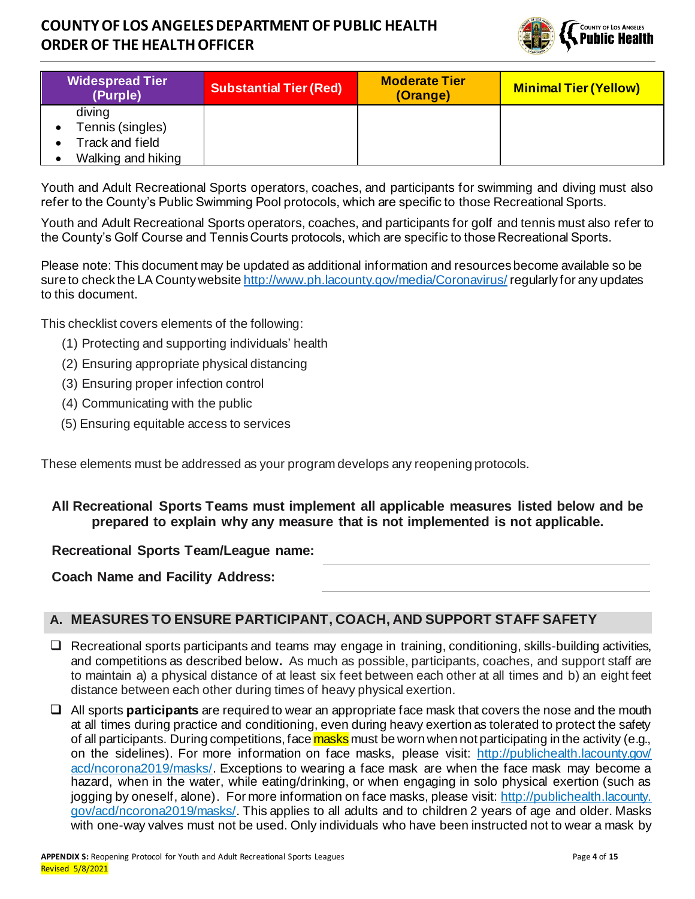

| <b>Widespread Tier</b><br>(Purple) | <b>Substantial Tier (Red)</b> | <b>Moderate Tier</b><br>(Orange) | <b>Minimal Tier (Yellow)</b> |
|------------------------------------|-------------------------------|----------------------------------|------------------------------|
| diving                             |                               |                                  |                              |
| Tennis (singles)                   |                               |                                  |                              |
| Track and field                    |                               |                                  |                              |
| Walking and hiking                 |                               |                                  |                              |

Youth and Adult Recreational Sports operators, coaches, and participants for swimming and diving must also refer to the County's Public Swimming Pool protocols, which are specific to those Recreational Sports.

Youth and Adult Recreational Sports operators, coaches, and participants for golf and tennis must also refer to the County's Golf Course and Tennis Courts protocols, which are specific to those Recreational Sports.

Please note: This document may be updated as additional information and resources become available so be sure to check the LA County websit[e http://www.ph.lacounty.gov/media/Coronavirus/](http://www.ph.lacounty.gov/media/Coronavirus/) regularly for any updates to this document.

This checklist covers elements of the following:

- (1) Protecting and supporting individuals' health
- (2) Ensuring appropriate physical distancing
- (3) Ensuring proper infection control
- (4) Communicating with the public
- (5) Ensuring equitable access to services

These elements must be addressed as your program develops any reopening protocols.

#### **All Recreational Sports Teams must implement all applicable measures listed below and be prepared to explain why any measure that is not implemented is not applicable.**

### **Recreational Sports Team/League name:**

**Coach Name and Facility Address:**

### **A. MEASURES TO ENSURE PARTICIPANT, COACH, AND SUPPORT STAFF SAFETY**

- ❑ Recreational sports participants and teams may engage in training, conditioning, skills-building activities, and competitions as described below**.** As much as possible, participants, coaches, and support staff are to maintain a) a physical distance of at least six feet between each other at all times and b) an eight feet distance between each other during times of heavy physical exertion.
- ❑ All sports **participants** are required to wear a[n appropriate face mask](http://publichealth.lacounty.gov/acd/ncorona2019/masks/) that covers the nose and the mouth at all times during practice and conditioning, even during heavy exertion as tolerated to protect the safety of all participants. During competitions, face masks must be worn when not participating in the activity (e.g., on the sidelines). For more information on face masks, please visit: http://publichealth.lacounty.gov/ [acd/ncorona2019/masks/](http://publichealth.lacounty.gov/acd/ncorona2019/masks/). Exceptions to wearing a face mask are when the face mask may become a hazard, when in the water, while eating/drinking, or when engaging in solo physical exertion (such as jogging by oneself, alone). For more information on face masks, please visit[: http://publichealth.lacounty.](http://publichealth.lacounty.gov/acd/ncorona2019/masks/)  [gov/acd/ncorona2019/masks/](http://publichealth.lacounty.gov/acd/ncorona2019/masks/). This applies to all adults and to children 2 years of age and older. Masks with one-way valves must not be used. Only individuals who have been instructed not to wear a mask by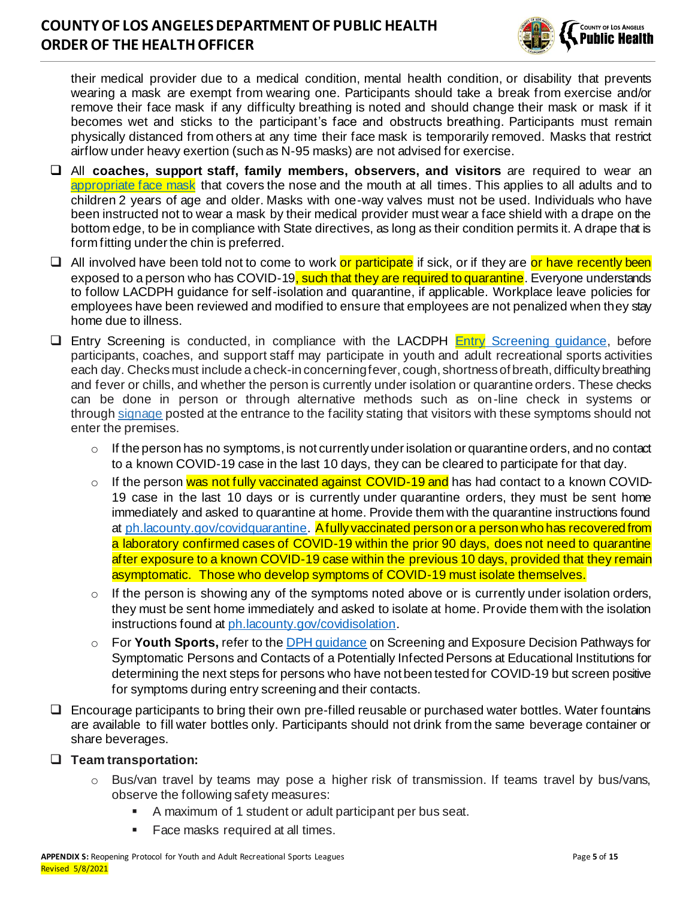

their medical provider due to a medical condition, mental health condition, or disability that prevents wearing a mask are exempt from wearing one. Participants should take a break from exercise and/or remove their face mask if any difficulty breathing is noted and should change their mask or mask if it becomes wet and sticks to the participant's face and obstructs breathing. Participants must remain physically distanced from others at any time their face mask is temporarily removed. Masks that restrict airflow under heavy exertion (such as N-95 masks) are not advised for exercise.

- ❑ All **coaches, support staff, family members, observers, and visitors** are required to wear an [appropriate face mask](http://publichealth.lacounty.gov/acd/ncorona2019/masks/) that covers the nose and the mouth at all times. This applies to all adults and to children 2 years of age and older. Masks with one-way valves must not be used. Individuals who have been instructed not to wear a mask by their medical provider must wear a face shield with a drape on the bottom edge, to be in compliance with State directives, as long as their condition permits it. A drape that is form fitting under the chin is preferred.
- □ All involved have been told not to come to work or participate if sick, or if they are or have recently been exposed to a person who has COVID-19<mark>, such that they are required to quarantine</mark>. Everyone understands to follow LACDPH guidance for self-isolation and quarantine, if applicable. Workplace leave policies for employees have been reviewed and modified to ensure that employees are not penalized when they stay home due to illness.
- □ Entry Screening is conducted, in compliance with the LACDPH Entry Screening quidance, before participants, coaches, and support staff may participate in youth and adult recreational sports activities each day. Checks must include a check-in concerningfever, cough, shortness of breath, difficulty breathing and fever or chills, and whether the person is currently under isolation or quarantine orders. These checks can be done in person or through alternative methods such as on-line check in systems or through [signage](http://publichealth.lacounty.gov/media/Coronavirus/docs/business/NoticeToCustomers.pdf) posted at the entrance to the facility stating that visitors with these symptoms should not enter the premises.
	- $\circ$  If the person has no symptoms, is not currently under isolation or quarantine orders, and no contact to a known COVID-19 case in the last 10 days, they can be cleared to participate for that day.
	- o If the person was not fully vaccinated against COVID-19 and has had contact to a known COVID-19 case in the last 10 days or is currently under quarantine orders, they must be sent home immediately and asked to quarantine at home. Provide them with the quarantine instructions found a[t ph.lacounty.gov/covidquarantine](http://ph.lacounty.gov/covidquarantine). Afully vaccinated person or a person who has recovered from a laboratory confirmed cases of COVID-19 within the prior 90 days, does not need to quarantine after exposure to a known COVID-19 case within the previous 10 days, provided that they remain asymptomatic. Those who develop symptoms of COVID-19 must isolate themselves.
	- $\circ$  If the person is showing any of the symptoms noted above or is currently under isolation orders, they must be sent home immediately and asked to isolate at home. Provide them with the isolation instructions found a[t ph.lacounty.gov/covidisolation](http://ph.lacounty.gov/covidisolation).
	- o For **Youth Sports,** refer to th[e DPH guidance](http://publichealth.lacounty.gov/media/coronavirus/docs/education/ScreeningEducationSettings.pdf) on Screening and Exposure Decision Pathways for Symptomatic Persons and Contacts of a Potentially Infected Persons at Educational Institutions for determining the next steps for persons who have not been tested for COVID-19 but screen positive for symptoms during entry screening and their contacts.
- ❑ Encourage participants to bring their own pre-filled reusable or purchased water bottles. Water fountains are available to fill water bottles only. Participants should not drink from the same beverage container or share beverages.

#### ❑ **Team transportation:**

- o Bus/van travel by teams may pose a higher risk of transmission. If teams travel by bus/vans, observe the following safety measures:
	- A maximum of 1 student or adult participant per bus seat.
	- Face masks required at all times.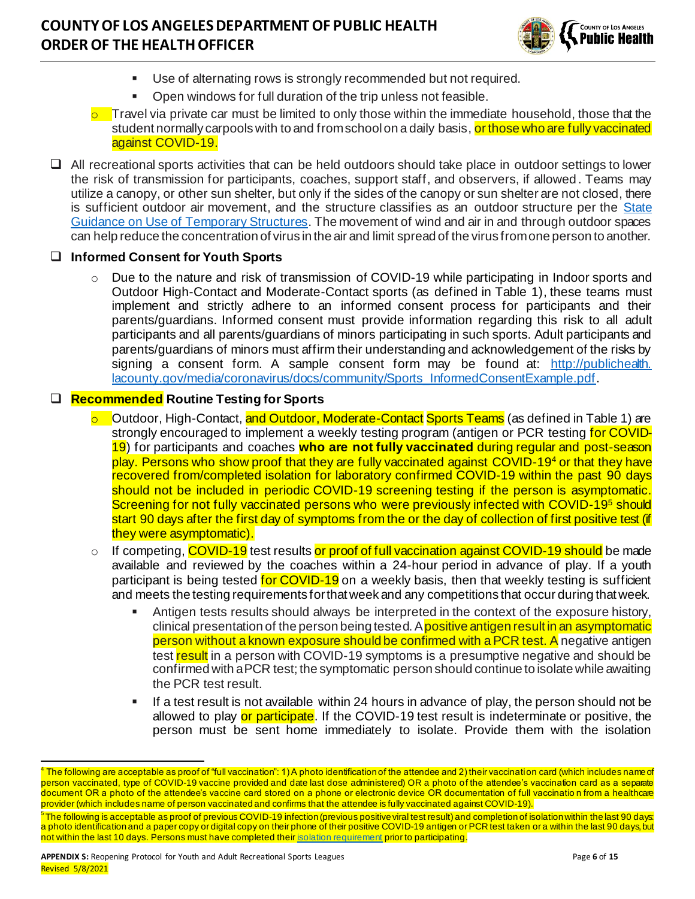

- Use of alternating rows is strongly recommended but not required.
- Open windows for full duration of the trip unless not feasible.
- $\circ$  Travel via private car must be limited to only those within the immediate household, those that the student normally carpools with to and from school on a daily basis, or those who are fully vaccinated against COVID-19.
- ❑ All recreational sports activities that can be held outdoors should take place in outdoor settings to lower the risk of transmission for participants, coaches, support staff, and observers, if allowed. Teams may utilize a canopy, or other sun shelter, but only if the sides of the canopy or sun shelter are not closed, there is sufficient outdoor air movement, and the structure classifies as an outdoor structure per the State Guidance [on Use of Temporary Structures](https://www.cdph.ca.gov/Programs/CID/DCDC/Pages/COVID-19/Use-of-Temporary-Structures-for-Outdoor-Business-Operations.aspx). The movement of wind and air in and through outdoor spaces can help reduce the concentration of virus in the air and limit spread of the virus from one person to another.

#### ❑ **Informed Consent for Youth Sports**

 $\circ$  Due to the nature and risk of transmission of COVID-19 while participating in Indoor sports and Outdoor High-Contact and Moderate-Contact sports (as defined in Table 1), these teams must implement and strictly adhere to an informed consent process for participants and their parents/guardians. Informed consent must provide information regarding this risk to all adult participants and all parents/guardians of minors participating in such sports. Adult participants and parents/guardians of minors must affirm their understanding and acknowledgement of the risks by signing a consent form. A sample consent form may be found at: [http://publichealth.](http://publichealth.lacounty.gov/media/coronavirus/docs/community/Sports_InformedConsentExample.pdf)  [lacounty.gov/media/coronavirus/docs/community/Sports\\_InformedConsentExample.pdf](http://publichealth.lacounty.gov/media/coronavirus/docs/community/Sports_InformedConsentExample.pdf).

#### ❑ **Recommended Routine Testing for Sports**

- o Cutdoor, High-Contact, and Outdoor, Moderate-Contact Sports Teams (as defined in Table 1) are strongly encouraged to implement a weekly testing program (antigen or PCR testing for COVID-19) for participants and coaches **who are not fully vaccinated** during regular and post-season play. Persons who show proof that they are fully vaccinated against COVID-19<sup>4</sup> or that they have recovered from/completed isolation for laboratory confirmed COVID-19 within the past 90 days should not be included in periodic COVID-19 screening testing if the person is asymptomatic. Screening for not fully vaccinated persons who were previously infected with COVID-19<sup>5</sup> should start 90 days after the first day of symptoms from the or the day of collection of first positive test (if they were asymptomatic).
- $\circ$  If competing, COVID-19 test results or proof of full vaccination against COVID-19 should be made available and reviewed by the coaches within a 24-hour period in advance of play. If a youth participant is being tested for COVID-19 on a weekly basis, then that weekly testing is sufficient and meets the testing requirements for that week and any competitions that occur during that week.
	- Antigen tests results should always be interpreted in the context of the exposure history, clinical presentation of the person being tested. A positive antigen result in an asymptomatic person without a known exposure should be confirmed with a PCR test. A negative antigen test result in a person with COVID-19 symptoms is a presumptive negative and should be confirmed with a PCR test; the symptomatic person should continue to isolate while awaiting the PCR test result.
	- If a test result is not available within 24 hours in advance of play, the person should not be allowed to play or participate. If the COVID-19 test result is indeterminate or positive, the person must be sent home immediately to isolate. Provide them with the isolation

 $^4$  The following are acceptable as proof of "full vaccination": 1) A photo identification of the attendee and 2) their vaccination card (which includes name of person vaccinated, type of COVID-19 vaccine provided and date last dose administered) OR a photo of the attendee's vaccination card as a separate document OR a photo of the attendee's vaccine card stored on a phone or electronic device OR documentation of full vaccination from a healthcare provider (which includes name of person vaccinated and confirms that the attendee is fully vaccinated against COVID-19).

 $^5$ The following is acceptable as proof of previous COVID-19 infection (previous positive viral test result) and completion of isolation within the last 90 days: a photo identification and a paper copy or digital copy on their phone of their positive COVID-19 antigen or PCR test taken or a within the last 90 days, but not within the last 10 days. Persons must have completed thei[r isolation requirement](http://publichealth.lacounty.gov/acd/ncorona2019/covidisolation/) prior to participating.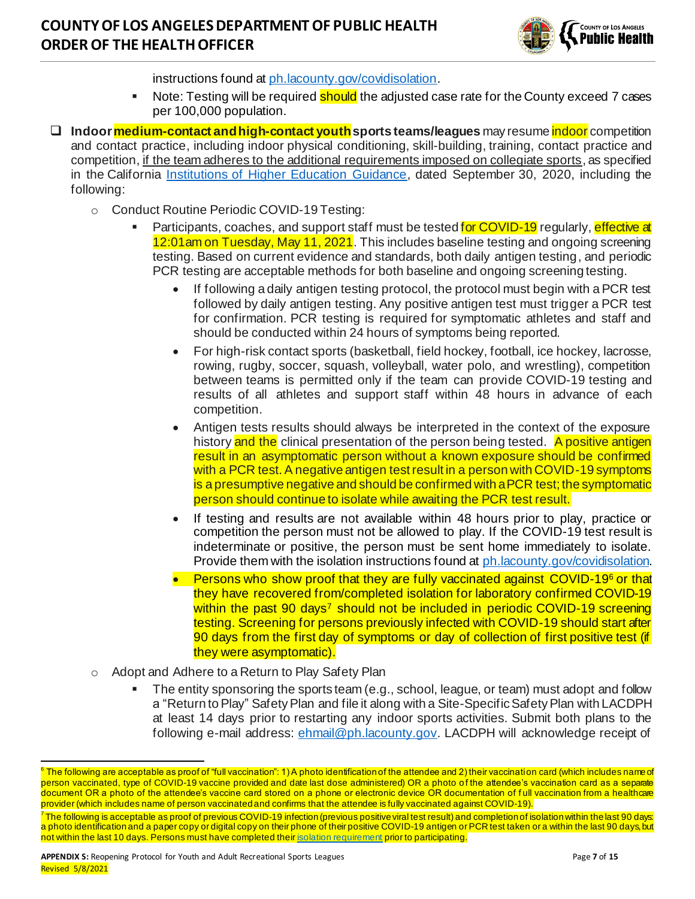

instructions found a[t ph.lacounty.gov/covidisolation](http://ph.lacounty.gov/covidisolation).

- Note: Testing will be required should the adjusted case rate for the County exceed 7 cases per 100,000 population.
- ❑ **Indoor medium-contact and high-contact youthsports teams/leagues** may resume indoor competition and contact practice, including indoor physical conditioning, skill-building, training, contact practice and competition, if the team adheres to the additional requirements imposed on collegiate sports, as specified in the California **Institutions of Higher Education Guidance**, dated September 30, 2020, including the following:
	- o Conduct Routine Periodic COVID-19 Testing:
		- Participants, coaches, and support staff must be tested for COVID-19 regularly, effective at 12:01am on Tuesday, May 11, 2021. This includes baseline testing and ongoing screening testing. Based on current evidence and standards, both daily antigen testing, and periodic PCR testing are acceptable methods for both baseline and ongoing screening testing.
			- If following a daily antigen testing protocol, the protocol must begin with a PCR test followed by daily antigen testing. Any positive antigen test must trigger a PCR test for confirmation. PCR testing is required for symptomatic athletes and staff and should be conducted within 24 hours of symptoms being reported.
			- For high-risk contact sports (basketball, field hockey, football, ice hockey, lacrosse, rowing, rugby, soccer, squash, volleyball, water polo, and wrestling), competition between teams is permitted only if the team can provide COVID-19 testing and results of all athletes and support staff within 48 hours in advance of each competition.
			- Antigen tests results should always be interpreted in the context of the exposure history and the clinical presentation of the person being tested. A positive antigen result in an asymptomatic person without a known exposure should be confirmed with a PCR test. A negative antigen test result in a person with COVID-19 symptoms is a presumptive negative and should be confirmed with a PCR test; the symptomatic person should continue to isolate while awaiting the PCR test result.
			- If testing and results are not available within 48 hours prior to play, practice or competition the person must not be allowed to play. If the COVID-19 test result is indeterminate or positive, the person must be sent home immediately to isolate. Provide them with the isolation instructions found at ph. lacounty.gov/covidisolation.
			- Persons who show proof that they are fully vaccinated against COVID-19<sup>6</sup> or that they have recovered from/completed isolation for laboratory confirmed COVID-19 within the past 90 days<sup>7</sup> should not be included in periodic COVID-19 screening testing. Screening for persons previously infected with COVID-19 should start after 90 days from the first day of symptoms or day of collection of first positive test (if they were asymptomatic).
	- o Adopt and Adhere to a Return to Play Safety Plan
		- The entity sponsoring the sports team (e.g., school, league, or team) must adopt and follow a "Return to Play" Safety Plan and file it along with a Site-Specific Safety Plan with LACDPH at least 14 days prior to restarting any indoor sports activities. Submit both plans to the following e-mail address: [ehmail@ph.lacounty.gov](mailto:ehmail@ph.lacounty.gov). LACDPH will acknowledge receipt of

 $^6$  The following are acceptable as proof of "full vaccination": 1) A photo identification of the attendee and 2) their vaccination card (which includes name of person vaccinated, type of COVID-19 vaccine provided and date last dose administered) OR a photo of the attendee's vaccination card as a separate document OR a photo of the attendee's vaccine card stored on a phone or electronic device OR documentation of full vaccination from a healthcare provider (which includes name of person vaccinated and confirms that the attendee is fully vaccinated against COVID-19).

 $^7$  The following is acceptable as proof of previous COVID-19 infection (previous positive viral test result) and completion of isolation within the last 90 days: a photo identification and a paper copy or digital copy on their phone of their positive COVID-19 antigen or PCR test taken or a within the last 90 days, but not within the last 10 days. Persons must have completed thei[r isolation requirement](http://publichealth.lacounty.gov/acd/ncorona2019/covidisolation/) prior to participating.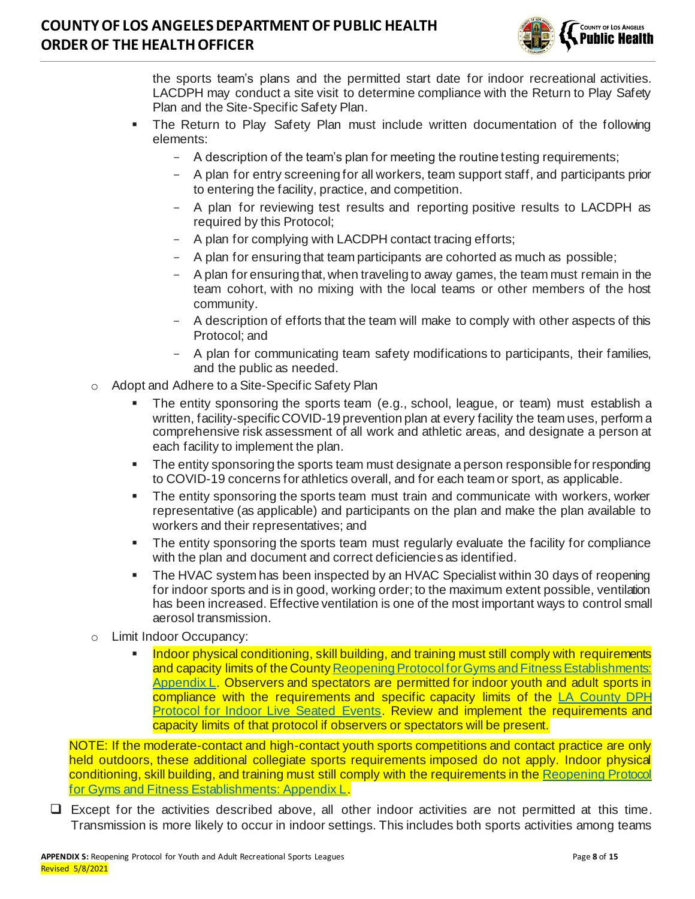

the sports team's plans and the permitted start date for indoor recreational activities. LACDPH may conduct a site visit to determine compliance with the Return to Play Safety Plan and the Site-Specific Safety Plan.

- **The Return to Play Safety Plan must include written documentation of the following** elements:
	- A description of the team's plan for meeting the routine testing requirements;
	- A plan for entry screening for all workers, team support staff, and participants prior to entering the facility, practice, and competition.
	- A plan for reviewing test results and reporting positive results to LACDPH as required by this Protocol;
	- A plan for complying with LACDPH contact tracing efforts;
	- A plan for ensuring that team participants are cohorted as much as possible;
	- A plan for ensuring that, when traveling to away games, the team must remain in the team cohort, with no mixing with the local teams or other members of the host community.
	- A description of efforts that the team will make to comply with other aspects of this Protocol; and
	- A plan for communicating team safety modifications to participants, their families, and the public as needed.
- o Adopt and Adhere to a Site-Specific Safety Plan
	- The entity sponsoring the sports team (e.g., school, league, or team) must establish a written, facility-specific COVID-19 prevention plan at every facility the team uses, perform a comprehensive risk assessment of all work and athletic areas, and designate a person at each facility to implement the plan.
	- The entity sponsoring the sports team must designate a person responsible for responding to COVID-19 concerns for athletics overall, and for each team or sport, as applicable.
	- **•** The entity sponsoring the sports team must train and communicate with workers, worker representative (as applicable) and participants on the plan and make the plan available to workers and their representatives; and
	- The entity sponsoring the sports team must regularly evaluate the facility for compliance with the plan and document and correct deficiencies as identified.
	- **The HVAC system has been inspected by an HVAC Specialist within 30 days of reopening** for indoor sports and is in good, working order; to the maximum extent possible, ventilation has been increased. Effective ventilation is one of the most important ways to control small aerosol transmission.
- o Limit Indoor Occupancy:
	- Indoor physical conditioning, skill building, and training must still comply with requirements and capacity limits of the Count[y Reopening Protocol for Gyms and Fitness Establishments:](http://www.ph.lacounty.gov/media/Coronavirus/docs/protocols/Reopening_FitnessEstablishments.pdf)  [Appendix L.](http://www.ph.lacounty.gov/media/Coronavirus/docs/protocols/Reopening_FitnessEstablishments.pdf) Observers and spectators are permitted for indoor youth and adult sports in compliance with the requirements and specific capacity limits of the [LA County DPH](http://publichealth.lacounty.gov/media/Coronavirus/docs/protocols/Reopening_LiveIndoorEvents.pdf)  [Protocol for Indoor Live Seated Events.](http://publichealth.lacounty.gov/media/Coronavirus/docs/protocols/Reopening_LiveIndoorEvents.pdf) Review and implement the requirements and capacity limits of that protocol if observers or spectators will be present.

NOTE: If the moderate-contact and high-contact youth sports competitions and contact practice are only held outdoors, these additional collegiate sports requirements imposed do not apply. Indoor physical conditioning, skill building, and training must still comply with the requirements in th[e Reopening Protocol](http://www.ph.lacounty.gov/media/Coronavirus/docs/protocols/Reopening_FitnessEstablishments.pdf)  [for Gyms and Fitness Establishments: Appendix L](http://www.ph.lacounty.gov/media/Coronavirus/docs/protocols/Reopening_FitnessEstablishments.pdf).

❑ Except for the activities described above, all other indoor activities are not permitted at this time. Transmission is more likely to occur in indoor settings. This includes both sports activities among teams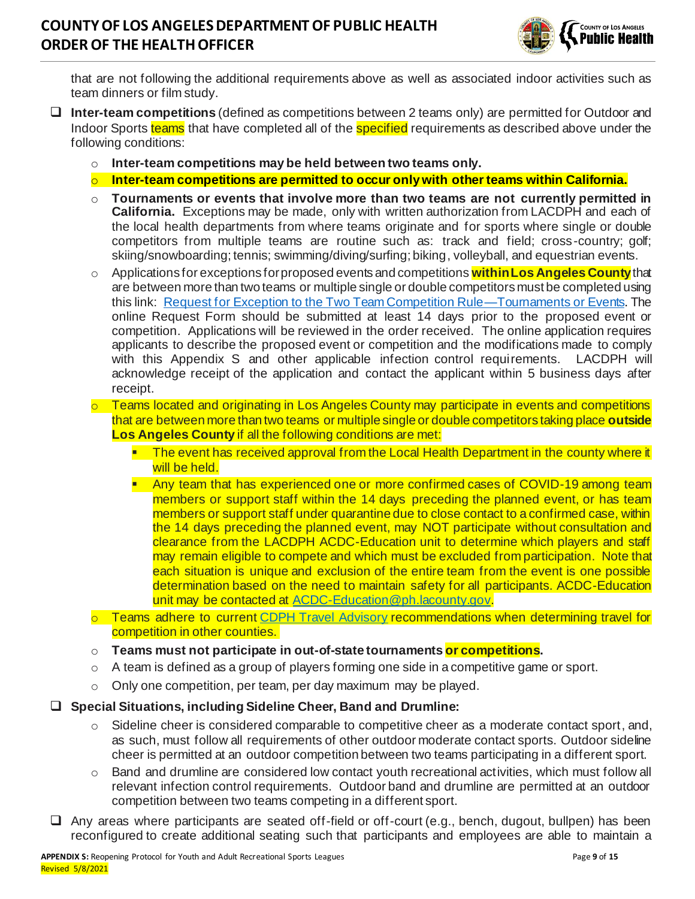

that are not following the additional requirements above as well as associated indoor activities such as team dinners or film study.

- ❑ **Inter-team competitions** (defined as competitions between 2 teams only) are permitted for Outdoor and Indoor Sports teams that have completed all of the specified requirements as described above under the following conditions:
	- o **Inter-team competitions may be held between two teams only.**
	- o **Inter-team competitions are permitted to occur only with other teams within California.**
	- o **Tournaments or events that involve more than two teams are not currently permitted in California.** Exceptions may be made, only with written authorization from LACDPH and each of the local health departments from where teams originate and for sports where single or double competitors from multiple teams are routine such as: track and field; cross-country; golf; skiing/snowboarding; tennis; swimming/diving/surfing; biking, volleyball, and equestrian events.
	- o Applications for exceptions for proposed events and competitions **within Los Angeles County**that are between more than two teams or multiple single or double competitors must be completed using this link: [Request for Exception to the Two Team Competition Rule—Tournaments or Events.](https://forms.office.com/Pages/ResponsePage.aspx?id=SHJZBzjqG0WKvqY47dusgRhkHSYxz5JKiyxHrBS9oFNUNE9JWUxCOVNMQ0wzRkFBVTAxRkNFVlIzVC4u) The online Request Form should be submitted at least 14 days prior to the proposed event or competition. Applications will be reviewed in the order received. The online application requires applicants to describe the proposed event or competition and the modifications made to comply with this Appendix S and other applicable infection control requirements. LACDPH will acknowledge receipt of the application and contact the applicant within 5 business days after receipt.
	- Teams located and originating in Los Angeles County may participate in events and competitions that are between more than two teams or multiple single or double competitors taking place **outside Los Angeles County** if all the following conditions are met:
		- The event has received approval from the Local Health Department in the county where it will be held.
		- **Any team that has experienced one or more confirmed cases of COVID-19 among team** members or support staff within the 14 days preceding the planned event, or has team members or support staff under quarantine due to close contact to a confirmed case, within the 14 days preceding the planned event, may NOT participate without consultation and clearance from the LACDPH ACDC-Education unit to determine which players and staff may remain eligible to compete and which must be excluded from participation. Note that each situation is unique and exclusion of the entire team from the event is one possible determination based on the need to maintain safety for all participants. ACDC-Education unit may be contacted a[t ACDC-Education@ph.lacounty.gov](mailto:ACDC-Education@ph.lacounty.gov).
	- $\circ$  Teams adhere to current [CDPH Travel Advisory](https://www.cdph.ca.gov/Programs/CID/DCDC/Pages/COVID-19/Travel-Advisory.aspx) recommendations when determining travel for competition in other counties.
	- o **Teams must not participate in out-of-state tournaments or competitions.**
	- $\circ$  A team is defined as a group of players forming one side in a competitive game or sport.
	- o Only one competition, per team, per day maximum may be played.

#### ❑ **Special Situations, including Sideline Cheer, Band and Drumline:**

- $\circ$  Sideline cheer is considered comparable to competitive cheer as a moderate contact sport, and, as such, must follow all requirements of other outdoor moderate contact sports. Outdoor sideline cheer is permitted at an outdoor competition between two teams participating in a different sport.
- $\circ$  Band and drumline are considered low contact youth recreational activities, which must follow all relevant infection control requirements. Outdoor band and drumline are permitted at an outdoor competition between two teams competing in a different sport.
- ❑ Any areas where participants are seated off-field or off-court (e.g., bench, dugout, bullpen) has been reconfigured to create additional seating such that participants and employees are able to maintain a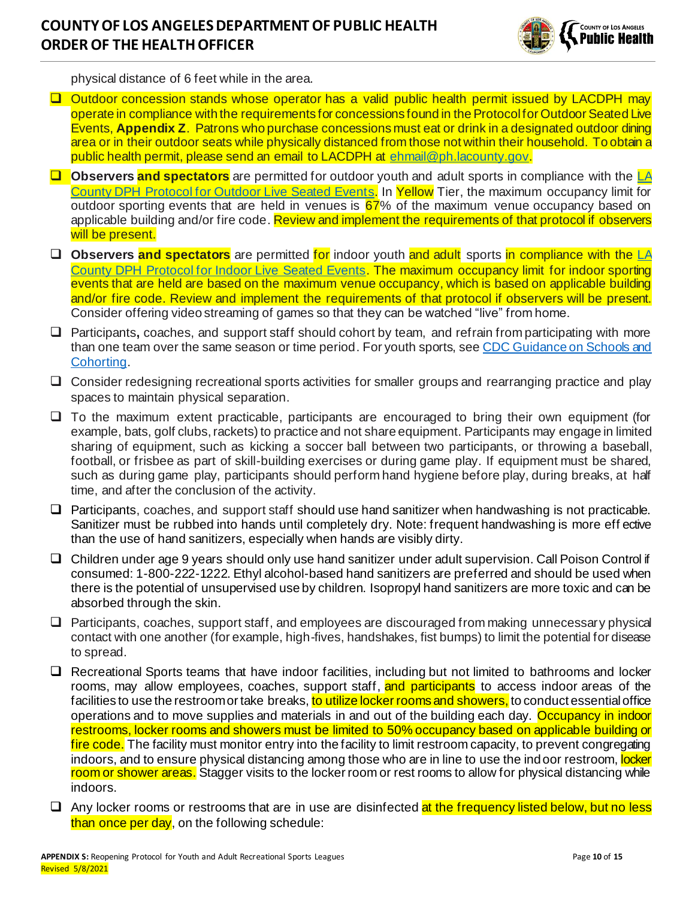

physical distance of 6 feet while in the area.

- ❑ Outdoor concession stands whose operator has a valid public health permit issued by LACDPH may operate in compliance with the requirements for concessions found in the Protocol for Outdoor Seated Live Events, **Appendix Z**. Patrons who purchase concessions must eat or drink in a designated outdoor dining area or in their outdoor seats while physically distanced from those not within their household. To obtain a public health permit, please send an email to LACDPH at [ehmail@ph.lacounty.gov](mailto:ehmail@ph.lacounty.gov).
- ❑ **Observers and spectators** are permitted for outdoor youth and adult sports in compliance with the [LA](http://publichealth.lacounty.gov/media/Coronavirus/docs/protocols/Reopening_LiveOutdoorEvents.pdf)  [County DPH Protocol for Outdoor Live Seated Events.](http://publichealth.lacounty.gov/media/Coronavirus/docs/protocols/Reopening_LiveOutdoorEvents.pdf) In Yellow Tier, the maximum occupancy limit for outdoor sporting events that are held in venues is 67% of the maximum venue occupancy based on applicable building and/or fire code. Review and implement the requirements of that protocol if observers will be present.
- ❑ **Observers and spectators** are permitted for indoor youth and adult sports in compliance with the [LA](http://publichealth.lacounty.gov/media/Coronavirus/docs/protocols/Reopening_LiveIndoorEvents.pdf)  County [DPH Protocol for Indoor Live Seated Events.](http://publichealth.lacounty.gov/media/Coronavirus/docs/protocols/Reopening_LiveIndoorEvents.pdf) The maximum occupancy limit for indoor sporting events that are held are based on the maximum venue occupancy, which is based on applicable building and/or fire code. Review and implement the requirements of that protocol if observers will be present. Consider offering video streaming of games so that they can be watched "live" from home.
- ❑ Participants**,** coaches, and support staff should cohort by team, and refrain from participating with more than one team over the same season or time period. For youth sports, se[e CDC Guidance on Schools and](https://www.cdc.gov/coronavirus/2019-ncov/community/schools-childcare/prepare-safe-return.html)  [Cohorting](https://www.cdc.gov/coronavirus/2019-ncov/community/schools-childcare/prepare-safe-return.html).
- ❑ Consider redesigning recreational sports activities for smaller groups and rearranging practice and play spaces to maintain physical separation.
- ❑ To the maximum extent practicable, participants are encouraged to bring their own equipment (for example, bats, golf clubs, rackets) to practice and not share equipment. Participants may engage in limited sharing of equipment, such as kicking a soccer ball between two participants, or throwing a baseball, football, or frisbee as part of skill-building exercises or during game play. If equipment must be shared, such as during game play, participants should perform hand hygiene before play, during breaks, at half time, and after the conclusion of the activity.
- ❑ Participants, coaches, and support staff should use hand sanitizer when handwashing is not practicable. Sanitizer must be rubbed into hands until completely dry. Note: frequent handwashing is more eff ective than the use of hand sanitizers, especially when hands are visibly dirty.
- ❑ Children under age 9 years should only use hand sanitizer under adult supervision. Call Poison Control if consumed: 1-800-222-1222. Ethyl alcohol-based hand sanitizers are preferred and should be used when there is the potential of unsupervised use by children. Isopropyl hand sanitizers are more toxic and can be absorbed through the skin.
- ❑ Participants, coaches, support staff, and employees are discouraged from making unnecessary physical contact with one another (for example, high-fives, handshakes, fist bumps) to limit the potential for disease to spread.
- ❑ Recreational Sports teams that have indoor facilities, including but not limited to bathrooms and locker rooms, may allow employees, coaches, support staff, and participants to access indoor areas of the facilities to use the restroom or take breaks, to utilize locker rooms and showers, to conduct essential office operations and to move supplies and materials in and out of the building each day. Occupancy in indoor restrooms, locker rooms and showers must be limited to 50% occupancy based on applicable building or fire code. The facility must monitor entry into the facility to limit restroom capacity, to prevent congregating indoors, and to ensure physical distancing among those who are in line to use the indoor restroom, locker room or shower areas. Stagger visits to the locker room or rest rooms to allow for physical distancing while indoors.
- $\Box$  Any locker rooms or restrooms that are in use are disinfected at the frequency listed below, but no less than once per day, on the following schedule: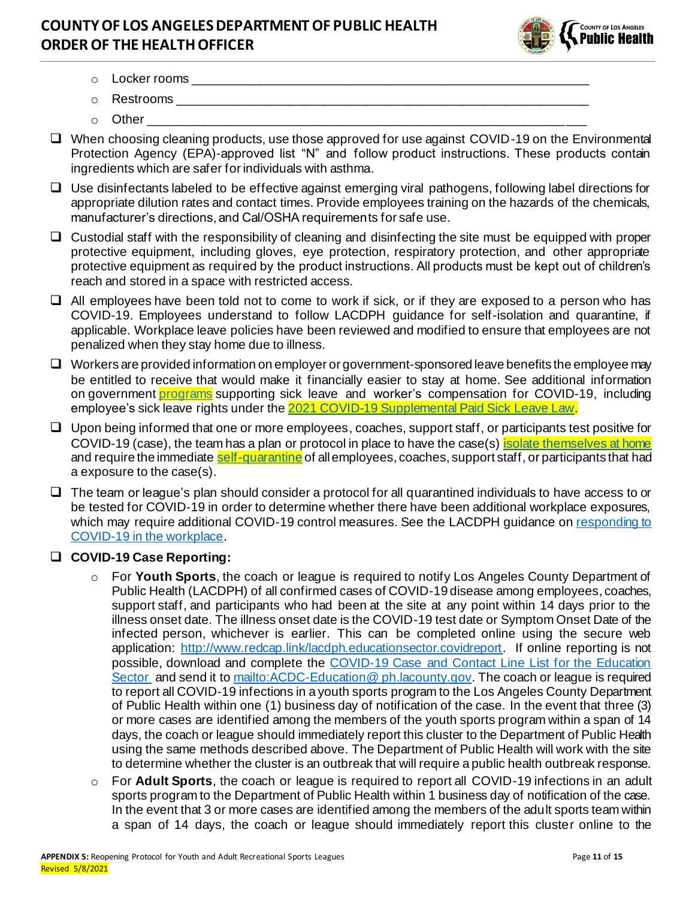

- o Locker rooms \_\_\_\_\_\_\_\_\_\_\_\_\_\_\_\_\_\_\_\_\_\_\_\_\_\_\_\_\_\_\_\_\_\_\_\_\_\_\_\_\_\_\_\_\_\_\_\_\_\_\_\_\_\_\_\_\_
- o Restrooms \_\_\_\_\_\_\_\_\_\_\_\_\_\_\_\_\_\_\_\_\_\_\_\_\_\_\_\_\_\_\_\_\_\_\_\_\_\_\_\_\_\_\_\_\_\_\_\_\_\_\_\_\_\_\_\_\_\_\_
- $\circ$  Other
- ❑ When choosing cleaning products, use those approved for use against COVID-19 on the Environmental Protection Agency (EPA)-approved list "N" and follow product instructions. These products contain ingredients which are safer for individuals with asthma.
- ❑ Use disinfectants labeled to be effective against emerging viral pathogens, following label directions for appropriate dilution rates and contact times. Provide employees training on the hazards of the chemicals, manufacturer's directions, and Cal/OSHA requirements for safe use.
- ❑ Custodial staff with the responsibility of cleaning and disinfecting the site must be equipped with proper protective equipment, including gloves, eye protection, respiratory protection, and other appropriate protective equipment as required by the product instructions. All products must be kept out of children's reach and stored in a space with restricted access.
- ❑ All employees have been told not to come to work if sick, or if they are exposed to a person who has COVID-19. Employees understand to follow LACDPH guidance for self-isolation and quarantine, if applicable. Workplace leave policies have been reviewed and modified to ensure that employees are not penalized when they stay home due to illness.
- ❑ Workers are provided information on employer or government-sponsored leave benefits the employee may be entitled to receive that would make it financially easier to stay at home. See additional information on government [programs](https://www.labor.ca.gov/coronavirus2019/#chart) supporting sick leave and worker's compensation for COVID-19, including employee's sick leave rights under the [2021 COVID-19 Supplemental Paid Sick Leave Law.](https://www.dir.ca.gov/dlse/COVID19Resources/FAQ-for-SPSL-2021.html)
- ❑ Upon being informed that one or more employees, coaches, support staff, or participants test positive for COVID-19 (case), the team has a plan or protocol in place to have the case(s[\) isolate themselves at home](http://publichealth.lacounty.gov/acd/ncorona2019/covidisolation/) and require the immediate [self-quarantine](http://publichealth.lacounty.gov/acd/ncorona2019/covidquarantine/) of all employees, coaches, support staff, or participants that had a exposure to the case(s).
- ❑ The team or league's plan should consider a protocol for all quarantined individuals to have access to or be tested for COVID-19 in order to determine whether there have been additional workplace exposures, which may require additional COVID-19 control measures. See the LACDPH guidance on [responding to](http://www.ph.lacounty.gov/media/Coronavirus/docs/business/GuidanceWorkplaceResponse.pdf)  [COVID-19 in the workplace](http://www.ph.lacounty.gov/media/Coronavirus/docs/business/GuidanceWorkplaceResponse.pdf).

### ❑ **COVID-19 Case Reporting:**

- o For **Youth Sports**, the coach or league is required to notify Los Angeles County Department of Public Health (LACDPH) of all confirmed cases of COVID-19 disease among employees, coaches, support staff, and participants who had been at the site at any point within 14 days prior to the illness onset date. The illness onset date is the COVID-19 test date or Symptom Onset Date of the infected person, whichever is earlier. This can be completed online using the secure web application: http://www.redcap.link/lacdph.educationsector.covidreport. If online reporting is not possible, download and complete the [COVID-19 Case and Contact Line List for the Education](http://publichealth.lacounty.gov/acd/Diseases/EpiForms/COVID_OBlinelist_Education_Sector.xlsm)  [Sector](http://publichealth.lacounty.gov/acd/Diseases/EpiForms/COVID_OBlinelist_Education_Sector.xlsm) and send it to mailto: ACDC-Education @ ph. lacounty.gov. The coach or league is required to report all COVID-19 infections in a youth sports program to the Los Angeles County Department of Public Health within one (1) business day of notification of the case. In the event that three (3) or more cases are identified among the members of the youth sports program within a span of 14 days, the coach or league should immediately report this cluster to the Department of Public Health using the same methods described above. The Department of Public Health will work with the site to determine whether the cluster is an outbreak that will require a public health outbreak response.
- For Adult Sports, the coach or league is required to report all COVID-19 infections in an adult sports program to the Department of Public Health within 1 business day of notification of the case. In the event that 3 or more cases are identified among the members of the adult sports team within a span of 14 days, the coach or league should immediately report this cluster online to the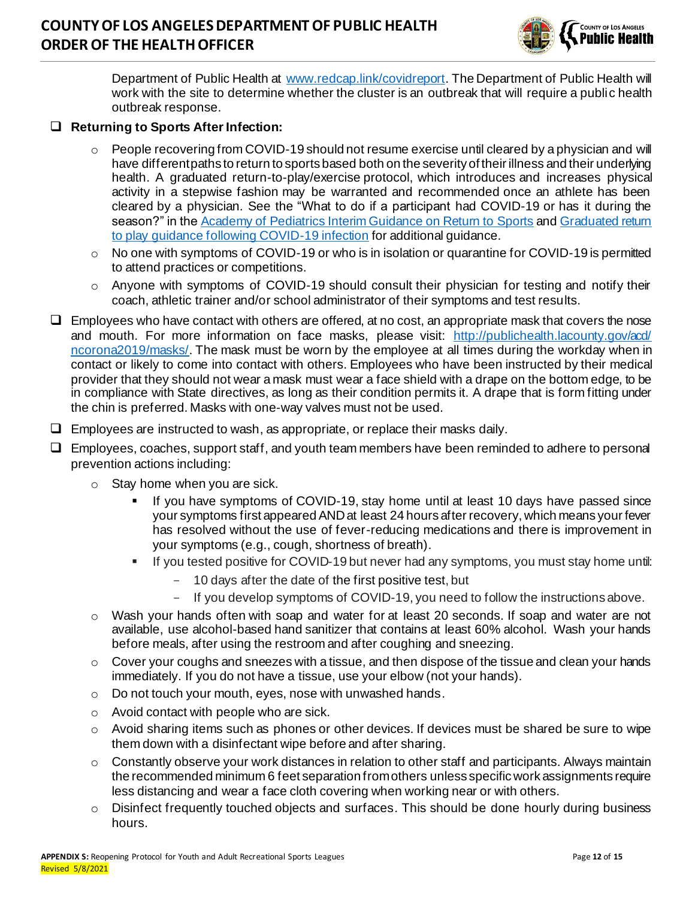

Department of Public Health at [www.redcap.link/covidreport](http://www.redcap.link/covidreport). The Department of Public Health will work with the site to determine whether the cluster is an outbreak that will require a public health outbreak response.

#### ❑ **Returning to Sports After Infection:**

- $\circ$  People recovering from COVID-19 should not resume exercise until cleared by a physician and will have different paths to return to sports based both on the severity of their illness and their underlying health. A graduated return-to-play/exercise protocol, which introduces and increases physical activity in a stepwise fashion may be warranted and recommended once an athlete has been cleared by a physician. See the "What to do if a participant had COVID-19 or has it during the season?" in the [Academy of Pediatrics Interim Guidance on Return to Sports](https://services.aap.org/en/pages/2019-novel-coronavirus-covid-19-infections/clinical-guidance/covid-19-interim-guidance-return-to-sports/) an[d Graduated return](https://bjsm.bmj.com/content/bjsports/early/2020/06/22/bjsports-2020-102637.full.pdf)  [to play guidance following COVID-19 infection](https://bjsm.bmj.com/content/bjsports/early/2020/06/22/bjsports-2020-102637.full.pdf) for additional guidance.
- $\circ$  No one with symptoms of COVID-19 or who is in isolation or quarantine for COVID-19 is permitted to attend practices or competitions.
- o Anyone with symptoms of COVID-19 should consult their physician for testing and notify their coach, athletic trainer and/or school administrator of their symptoms and test results.
- $\Box$  Employees who have contact with others are offered, at no cost, an appropriate mask that covers the nose and mouth. For more information on face masks, please visit: [http://publichealth.lacounty.gov/acd/](http://publichealth.lacounty.gov/acd/ncorona2019/masks/)  [ncorona2019/masks/](http://publichealth.lacounty.gov/acd/ncorona2019/masks/). The mask must be worn by the employee at all times during the workday when in contact or likely to come into contact with others. Employees who have been instructed by their medical provider that they should not wear a mask must wear a face shield with a drape on the bottom edge, to be in compliance with State directives, as long as their condition permits it. A drape that is form fitting under the chin is preferred. Masks with one-way valves must not be used.
- $\Box$  Employees are instructed to wash, as appropriate, or replace their masks daily.
- ❑ Employees, coaches, support staff, and youth team members have been reminded to adhere to personal prevention actions including:
	- $\circ$  Stay home when you are sick.
		- If you have symptoms of COVID-19, stay home until at least 10 days have passed since your symptoms first appeared AND at least 24 hours after recovery, which means your fever has resolved without the use of fever-reducing medications and there is improvement in your symptoms (e.g., cough, shortness of breath).
		- **•** If you tested positive for COVID-19 but never had any symptoms, you must stay home until:
			- 10 days after the date of the first positive test, but
			- If you develop symptoms of COVID-19, you need to follow the instructions above.
	- $\circ$  Wash your hands often with soap and water for at least 20 seconds. If soap and water are not available, use alcohol-based hand sanitizer that contains at least 60% alcohol. Wash your hands before meals, after using the restroom and after coughing and sneezing.
	- $\circ$  Cover your coughs and sneezes with a tissue, and then dispose of the tissue and clean your hands immediately. If you do not have a tissue, use your elbow (not your hands).
	- o Do not touch your mouth, eyes, nose with unwashed hands.
	- o Avoid contact with people who are sick.
	- o Avoid sharing items such as phones or other devices. If devices must be shared be sure to wipe them down with a disinfectant wipe before and after sharing.
	- o Constantly observe your work distances in relation to other staff and participants. Always maintain the recommended minimum 6 feet separation from others unless specific work assignments require less distancing and wear a face cloth covering when working near or with others.
	- $\circ$  Disinfect frequently touched objects and surfaces. This should be done hourly during business hours.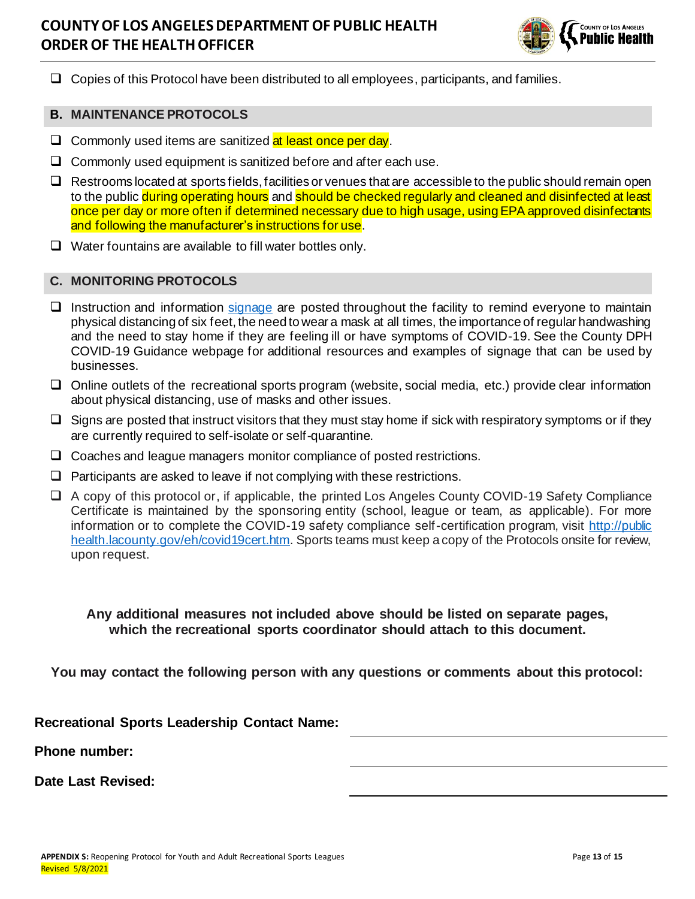

❑ Copies of this Protocol have been distributed to all employees, participants, and families.

#### **B. MAINTENANCE PROTOCOLS**

- $\Box$  Commonly used items are sanitized at least once per day.
- ❑ Commonly used equipment is sanitized before and after each use.
- ❑ Restrooms located at sports fields, facilities or venues that are accessible to the public should remain open to the public during operating hours and should be checked regularly and cleaned and disinfected at least once per day or more often if determined necessary due to high usage, using EPA approved disinfectants and following the manufacturer's instructions for use.
- ❑ Water fountains are available to fill water bottles only.

#### **C. MONITORING PROTOCOLS**

- ❑ Instruction and information [signage](http://publichealth.lacounty.gov/media/Coronavirus/docs/business/NoticeToCustomers.pdf) are posted throughout the facility to remind everyone to maintain physical distancing of six feet, the need to wear a mask at all times, the importance of regular handwashing and the need to stay home if they are feeling ill or have symptoms of COVID-19. See the County DPH COVID-19 Guidance webpage for additional resources and examples of signage that can be used by businesses.
- ❑ Online outlets of the recreational sports program (website, social media, etc.) provide clear information about physical distancing, use of masks and other issues.
- $\Box$  Signs are posted that instruct visitors that they must stay home if sick with respiratory symptoms or if they are currently required to self-isolate or self-quarantine.
- ❑ Coaches and league managers monitor compliance of posted restrictions.
- $\Box$  Participants are asked to leave if not complying with these restrictions.
- ❑ A copy of this protocol or, if applicable, the printed Los Angeles County COVID-19 Safety Compliance Certificate is maintained by the sponsoring entity (school, league or team, as applicable). For more information or to complete the COVID-19 safety compliance self-certification program, visit [http://public](http://publichealth.lacounty.gov/eh/covid19cert.htm)  [health.lacounty.gov/eh/covid19cert.htm](http://publichealth.lacounty.gov/eh/covid19cert.htm). Sports teams must keep a copy of the Protocols onsite for review, upon request.

#### **Any additional measures not included above should be listed on separate pages, which the recreational sports coordinator should attach to this document.**

**You may contact the following person with any questions or comments about this protocol:**

#### **Recreational Sports Leadership Contact Name:**

**Phone number:**

**Date Last Revised:**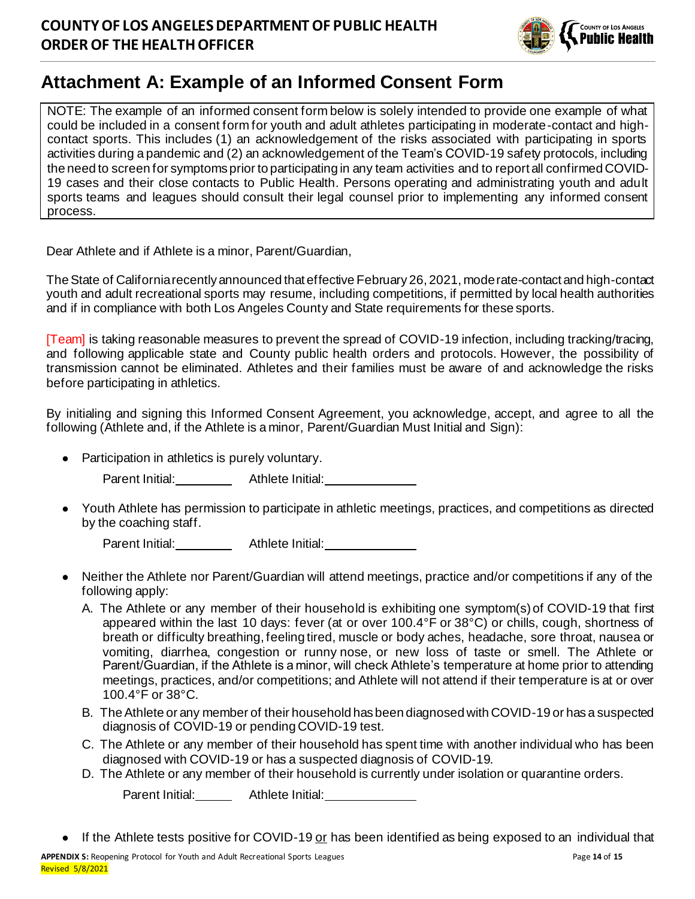

# **Attachment A: Example of an Informed Consent Form**

NOTE: The example of an informed consent form below is solely intended to provide one example of what could be included in a consent form for youth and adult athletes participating in moderate-contact and highcontact sports. This includes (1) an acknowledgement of the risks associated with participating in sports activities during a pandemic and (2) an acknowledgement of the Team's COVID-19 safety protocols, including the need to screen for symptoms prior to participating in any team activities and to report all confirmed COVID-19 cases and their close contacts to Public Health. Persons operating and administrating youth and adult sports teams and leagues should consult their legal counsel prior to implementing any informed consent process.

Dear Athlete and if Athlete is a minor, Parent/Guardian,

The State of California recently announced that effective February 26, 2021, moderate-contact and high-contact youth and adult recreational sports may resume, including competitions, if permitted by local health authorities and if in compliance with both Los Angeles County and State requirements for these sports.

[Team] is taking reasonable measures to prevent the spread of COVID-19 infection, including tracking/tracing, and following applicable state and County public health orders and protocols. However, the possibility of transmission cannot be eliminated. Athletes and their families must be aware of and acknowledge the risks before participating in athletics.

By initialing and signing this Informed Consent Agreement, you acknowledge, accept, and agree to all the following (Athlete and, if the Athlete is a minor, Parent/Guardian Must Initial and Sign):

Participation in athletics is purely voluntary.

Parent Initial: \_\_\_\_\_\_\_\_ Athlete Initial: \_\_\_\_\_\_\_\_\_\_\_\_

Youth Athlete has permission to participate in athletic meetings, practices, and competitions as directed by the coaching staff.

Parent Initial: Athlete Initial: Parent Initial:

- Neither the Athlete nor Parent/Guardian will attend meetings, practice and/or competitions if any of the following apply:
	- A. The Athlete or any member of their household is exhibiting one symptom(s)of COVID-19 that first appeared within the last 10 days: fever (at or over 100.4°F or 38°C) or chills, cough, shortness of breath or difficulty breathing, feeling tired, muscle or body aches, headache, sore throat, nausea or vomiting, diarrhea, congestion or runny nose, or new loss of taste or smell. The Athlete or Parent/Guardian, if the Athlete is a minor, will check Athlete's temperature at home prior to attending meetings, practices, and/or competitions; and Athlete will not attend if their temperature is at or over 100.4°F or 38°C.
	- B. The Athlete or any member of their household has been diagnosed with COVID-19 or has a suspected diagnosis of COVID-19 or pending COVID-19 test.
	- C. The Athlete or any member of their household has spent time with another individual who has been diagnosed with COVID-19 or has a suspected diagnosis of COVID-19.
	- D. The Athlete or any member of their household is currently under isolation or quarantine orders.

Parent Initial: Athlete Initial: Parent Initial:

If the Athlete tests positive for COVID-19 or has been identified as being exposed to an individual that